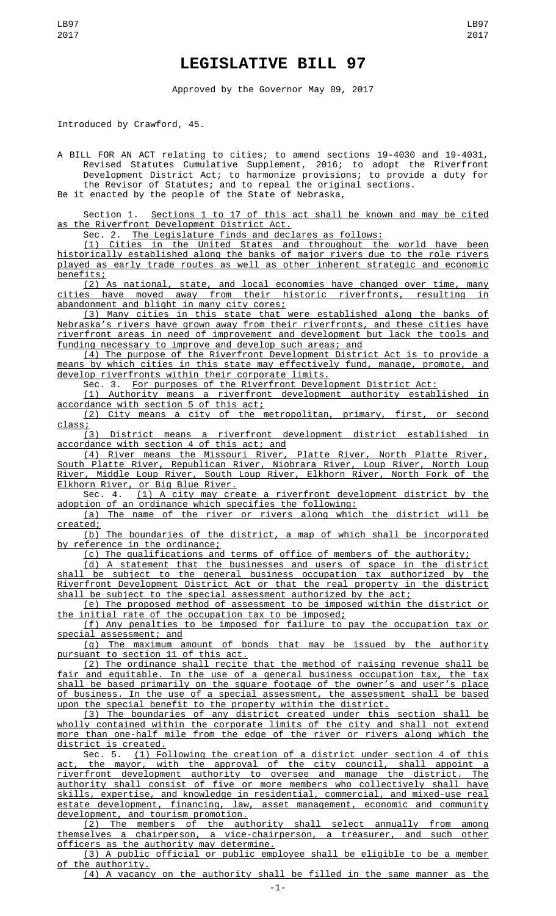## **LEGISLATIVE BILL 97**

Approved by the Governor May 09, 2017

Introduced by Crawford, 45.

A BILL FOR AN ACT relating to cities; to amend sections 19-4030 and 19-4031, Revised Statutes Cumulative Supplement, 2016; to adopt the Riverfront Development District Act; to harmonize provisions; to provide a duty for the Revisor of Statutes; and to repeal the original sections. Be it enacted by the people of the State of Nebraska,

Section 1. <u>Sections 1 to 17 of this act shall be known and may be cited</u> as the Riverfront Development District Act.

Sec. 2. The Legislature finds and declares as follows:

(1) Cities in the United States and throughout the world have been historically established along the banks of major rivers due to the role rivers played as early trade routes as well as other inherent strategic and economic benefits;

(2) As national, state, and local economies have changed over time, many cities have moved away from their historic riverfronts, resulting in abandonment and blight in many city cores;

(3) Many cities in this state that were established along the banks of Nebraska's rivers have grown away from their riverfronts, and these cities have riverfront areas in need of improvement and development but lack the tools and funding necessary to improve and develop such areas; and

(4) The purpose of the Riverfront Development District Act is to provide a means by which cities in this state may effectively fund, manage, promote, and develop riverfronts within their corporate limits.

Sec. 3. For purposes of the Riverfront Development District Act:

(1) Authority means a riverfront development authority established in accordance with section 5 of this act;

(2) City means a city of the metropolitan, primary, first, or second class;

(3) District means a riverfront development district established in accordance with section 4 of this act; and

(4) River means the Missouri River, Platte River, North Platte River, South Platte River, Republican River, Niobrara River, Loup River, North Loup River, Middle Loup River, South Loup River, Elkhorn River, North Fork of the Elkhorn River, or Big Blue River.

Sec. 4. (1) A city may create a riverfront development district by the adoption of an ordinance which specifies the following:

(a) The name of the river or rivers along which the district will be created;

(b) The boundaries of the district, a map of which shall be incorporated by reference in the ordinance;

(c) The qualifications and terms of office of members of the authority;

(d) A statement that the businesses and users of space in the district shall be subject to the general business occupation tax authorized by the Riverfront Development District Act or that the real property in the district shall be subject to the special assessment authorized by the act;

(e) The proposed method of assessment to be imposed within the district or the initial rate of the occupation tax to be imposed;

(f) Any penalties to be imposed for failure to pay the occupation tax or special assessment; and

(g) The maximum amount of bonds that may be issued by the authority pursuant to section 11 of this act.

(2) The ordinance shall recite that the method of raising revenue shall be fair and equitable. In the use of a general business occupation tax, the tax shall be based primarily on the square footage of the owner's and user's place of business. In the use of a special assessment, the assessment shall be based upon the special benefit to the property within the district.

(3) The boundaries of any district created under this section shall be wholly contained within the corporate limits of the city and shall not extend more than one-half mile from the edge of the river or rivers along which the district is created.

Sec. 5.  $(1)$  Following the creation of a district under section 4 of this act, the mayor, with the approval of the city council, shall appoint a riverfront development authority to oversee and manage the district. The authority shall consist of five or more members who collectively shall have skills, expertise, and knowledge in residential, commercial, and mixed-use real estate development, financing, law, asset management, economic and community development, and tourism promotion.

(2) The members of the authority shall select annually from among themselves a chairperson, a vice-chairperson, a treasurer, and such other officers as the authority may determine.

(3) A public official or public employee shall be eligible to be a member of the authority.

(4) A vacancy on the authority shall be filled in the same manner as the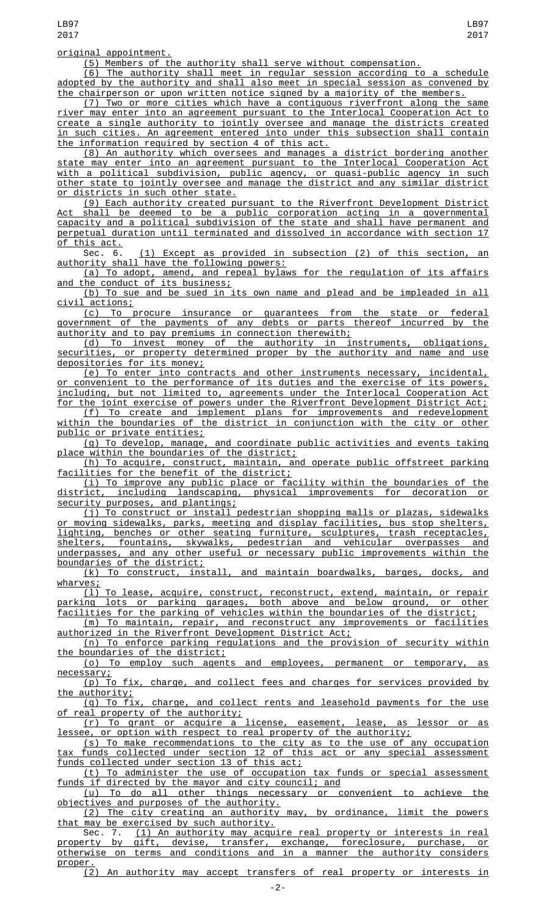(5) Members of the authority shall serve without compensation.

(6) The authority shall meet in regular session according to a schedule adopted by the authority and shall also meet in special session as convened by the chairperson or upon written notice signed by a majority of the members.

(7) Two or more cities which have a contiguous riverfront along the same river may enter into an agreement pursuant to the Interlocal Cooperation Act to create a single authority to jointly oversee and manage the districts created in such cities. An agreement entered into under this subsection shall contain the information required by section 4 of this act.

(8) An authority which oversees and manages a district bordering another state may enter into an agreement pursuant to the Interlocal Cooperation Act with a political subdivision, public agency, or quasi-public agency in such other state to jointly oversee and manage the district and any similar district or districts in such other state.

(9) Each authority created pursuant to the Riverfront Development District Act shall be deemed to be a public corporation acting in a governmental capacity and a political subdivision of the state and shall have permanent and perpetual duration until terminated and dissolved in accordance with section 17 this act.

Sec. 6. (1) Except as provided in subsection (2) of this section, an authority shall have the following powers:

(a) To adopt, amend, and repeal bylaws for the regulation of its affairs and the conduct of its business;

(b) To sue and be sued in its own name and plead and be impleaded in all civil actions;

(c) To procure insurance or guarantees from the state or federal government of the payments of any debts or parts thereof incurred by the authority and to pay premiums in connection therewith;

(d) To invest money of the authority in instruments, obligations, securities, or property determined proper by the authority and name and use depositories for its money;

(e) To enter into contracts and other instruments necessary, incidental, or convenient to the performance of its duties and the exercise of its powers, including, but not limited to, agreements under the Interlocal Cooperation Act for the joint exercise of powers under the Riverfront Development District Act;<br>(f) To create and implement plans for improvements and redevelopment

(f) To create and implement plans for improvements within the boundaries of the district in conjunction with the city or other public or private entities;

(g) To develop, manage, and coordinate public activities and events taking place within the boundaries of the district;

(h) To acquire, construct, maintain, and operate public offstreet parking facilities for the benefit of the district;

(i) To improve any public place or facility within the boundaries of the district, including landscaping, physical improvements for decoration or security purposes, and plantings;

(j) To construct or install pedestrian shopping malls or plazas, sidewalks or moving sidewalks, parks, meeting and display facilities, bus stop shelters, lighting, benches or other seating furniture, sculptures, trash receptacles, shelters, fountains, skywalks, pedestrian and vehicular overpasses and underpasses, and any other useful or necessary public improvements within the boundaries of the district;

(k) To construct, install, and maintain boardwalks, barges, docks, and wharves;

(l) To lease, acquire, construct, reconstruct, extend, maintain, or repair parking lots or parking garages, both above and below ground, or other facilities for the parking of vehicles within the boundaries of the district;

(m) To maintain, repair, and reconstruct any improvements or facilities authorized in the Riverfront Development District Act;

(n) To enforce parking regulations and the provision of security within the boundaries of the district;

(o) To employ such agents and employees, permanent or temporary, as necessary;

(p) To fix, charge, and collect fees and charges for services provided by the authority;<br>(g) To fix,

charge, and collect rents and leasehold payments for the use of real property of the authority;

(r) To grant or acquire a license, easement, lease, as lessor or as lessee, or option with respect to real property of the authority;

(s) To make recommendations to the city as to the use of any occupation tax funds collected under section 12 of this act or any special assessment funds collected under section 13 of this act;

(t) To administer the use of occupation tax funds or special assessment funds if directed by the mayor and city council; and

(u) To do all other things necessary or convenient to achieve the objectives and purposes of the authority.

(2) The city creating an authority may, by ordinance, limit the powers that may be exercised by such authority.

Sec. 7. <u>(1) An authority may acquire real property or interests in real</u><br>property by gift, devise, transfer, exchange, foreclosure, purchase, or property by gift, devise, transfer, exchange, foreclosure, purchase, or otherwise on terms and conditions and in a manner the authority considers otherwise on<br>proper.

An authority may accept transfers of real property or interests in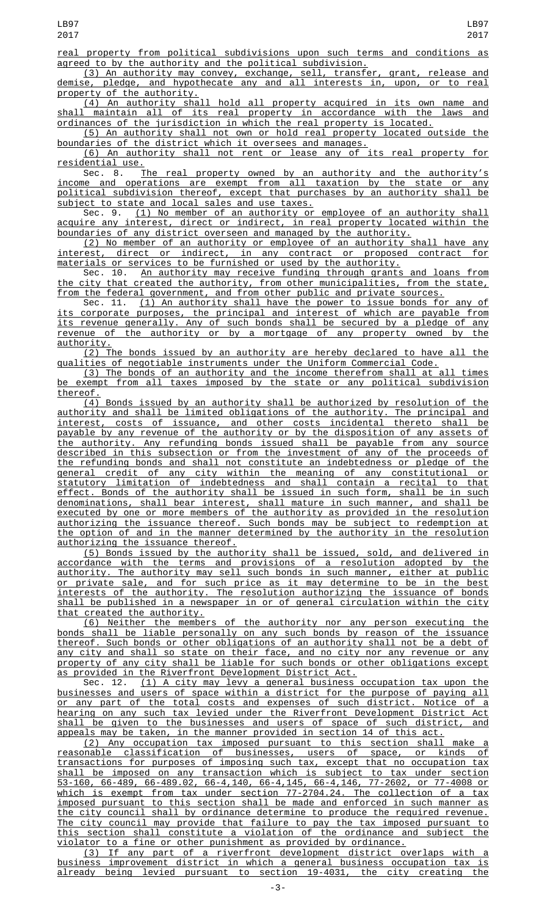real property from political subdivisions upon such terms and conditions as agreed to by the authority and the political subdivision.

(3) An authority may convey, exchange, sell, transfer, grant, release and demise, pledge, and hypothecate any and all interests in, upon, or to real property of the authority.

(4) An authority shall hold all property acquired in its own name and shall maintain all of its real property in accordance with the laws and ordinances of the jurisdiction in which the real property is located.

(5) An authority shall not own or hold real property located outside the boundaries of the district which it oversees and manages.

(6) An authority shall not rent or lease any of its real property for residential use.

Sec. 8. <u>The real property owned by an authority and the authority's</u> income and operations are exempt from all taxation by the state or any political subdivision thereof, except that purchases by an authority shall be subject to state and local sales and use taxes.

Sec. 9. (1) No member of an authority or employee of an authority shall acquire any interest, direct or indirect, in real property located within the boundaries of any district overseen and managed by the authority.

(2) No member of an authority or employee of an authority shall have any interest, direct or indirect, in any contract or proposed contract for materials or services to be furnished or used by the authority.

Sec. 10. An authority may receive funding through grants and loans from the city that created the authority, from other municipalities, from the state, from the federal government, and from other public and private sources.

Sec. 11. (1) An authority shall have the power to issue bonds for any of its corporate purposes, the principal and interest of which are payable from its revenue generally. Any of such bonds shall be secured by a pledge of any revenue of the authority or by a mortgage of any property owned by the authority.

(2) The bonds issued by an authority are hereby declared to have all the qualities of negotiable instruments under the Uniform Commercial Code.

(3) The bonds of an authority and the income therefrom shall at all times be exempt from all taxes imposed by the state or any political subdivision thereof.

(4) Bonds issued by an authority shall be authorized by resolution of the authority and shall be limited obligations of the authority. The principal and interest, costs of issuance, and other costs incidental thereto shall be payable by any revenue of the authority or by the disposition of any assets of the authority. Any refunding bonds issued shall be payable from any source described in this subsection or from the investment of any of the proceeds of the refunding bonds and shall not constitute an indebtedness or pledge of the general credit of any city within the meaning of any constitutional or statutory limitation of indebtedness and shall contain a recital to that effect. Bonds of the authority shall be issued in such form, shall be in such denominations, shall bear interest, shall mature in such manner, and shall be executed by one or more members of the authority as provided in the resolution authorizing the issuance thereof. Such bonds may be subject to redemption at the option of and in the manner determined by the authority in the resolution authorizing the issuance thereof.

(5) Bonds issued by the authority shall be issued, sold, and delivered in accordance with the terms and provisions of a resolution adopted by the authority. The authority may sell such bonds in such manner, either at public or private sale, and for such price as it may determine to be in the best interests of the authority. The resolution authorizing the issuance of bonds shall be published in a newspaper in or of general circulation within the city that created the authority.

(6) Neither the members of the authority nor any person executing the bonds shall be liable personally on any such bonds by reason of the issuance thereof. Such bonds or other obligations of an authority shall not be a debt of any city and shall so state on their face, and no city nor any revenue or any property of any city shall be liable for such bonds or other obligations except as provided in the Riverfront Development District Act.<br>Sec. 12. (1) A city may levy a general business

(1) A city may levy a general business occupation tax upon businesses and users of space within a district for the purpose of paying all or any part of the total costs and expenses of such district. Notice of a hearing on any such tax levied under the Riverfront Development District Act shall be given to the businesses and users of space of such district, and appeals may be taken, in the manner provided in section 14 of this act.

(2) Any occupation tax imposed pursuant to this section shall make a reasonable classification of businesses, users of space, or kinds of transactions for purposes of imposing such tax, except that no occupation tax shall be imposed on any transaction which is subject to tax under section 53-160, 66-489, 66-489.02, 66-4,140, 66-4,145, 66-4,146, 77-2602, or 77-4008 or which is exempt from tax under section 77-2704.24. The collection of a tax imposed pursuant to this section shall be made and enforced in such manner as the city council shall by ordinance determine to produce the required revenue. The city council may provide that failure to pay the tax imposed pursuant to this section shall constitute a violation of the ordinance and subject the violator to a fine or other punishment as provided by ordinance.

(3) If any part of a riverfront development district overlaps with a business improvement district in which a general business occupation tax is already being levied pursuant to section 19-4031, the city creating the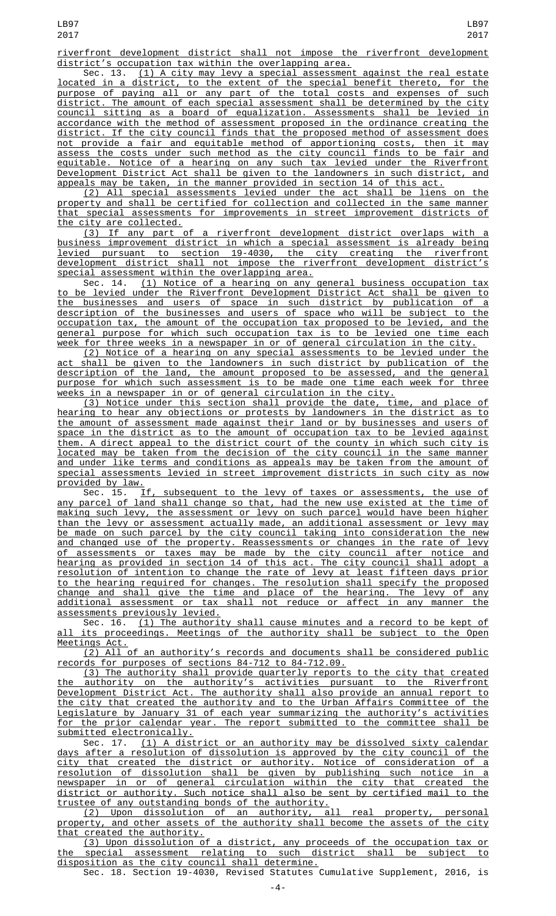riverfront development district shall not impose the riverfront development district's occupation tax within the overlapping area.<br>Sec. 13. (1) A city may levy a special assessmen

 $(1)$  A city may levy a special assessment against the real estate located in a district, to the extent of the special benefit thereto, for the purpose of paying all or any part of the total costs and expenses of such district. The amount of each special assessment shall be determined by the city council sitting as a board of equalization. Assessments shall be levied in accordance with the method of assessment proposed in the ordinance creating the district. If the city council finds that the proposed method of assessment does not provide a fair and equitable method of apportioning costs, then it may assess the costs under such method as the city council finds to be fair and equitable. Notice of a hearing on any such tax levied under the Riverfront Development District Act shall be given to the landowners in such district, and appeals may be taken, in the manner provided in section 14 of this act.

(2) All special assessments levied under the act shall be liens on the property and shall be certified for collection and collected in the same manner that special assessments for improvements in street improvement districts of the city are collected.

(3) If any part of a riverfront development district overlaps with a business improvement district in which a special assessment is already being levied pursuant to section 19-4030, the city creating the riverfront development district shall not impose the riverfront development district's special assessment within the overlapping area.

Sec. 14. (1) Notice of a hearing on any general business occupation tax to be levied under the Riverfront Development District Act shall be given to the businesses and users of space in such district by publication of a description of the businesses and users of space who will be subject to the occupation tax, the amount of the occupation tax proposed to be levied, and the general purpose for which such occupation tax is to be levied one time each week for three weeks in a newspaper in or of general circulation in the city.

(2) Notice of a hearing on any special assessments to be levied under the act shall be given to the landowners in such district by publication of the description of the land, the amount proposed to be assessed, and the general purpose for which such assessment is to be made one time each week for three weeks in a newspaper in or of general circulation in the city.

(3) Notice under this section shall provide the date, time, and place of hearing to hear any objections or protests by landowners in the district as to the amount of assessment made against their land or by businesses and users of space in the district as to the amount of occupation tax to be levied against them. A direct appeal to the district court of the county in which such city is located may be taken from the decision of the city council in the same manner and under like terms and conditions as appeals may be taken from the amount of special assessments levied in street improvement districts in such city as now provided by law.<br>Sec. 15.

If, subsequent to the levy of taxes or assessments, the use of any parcel of land shall change so that, had the new use existed at the time of making such levy, the assessment or levy on such parcel would have been higher than the levy or assessment actually made, an additional assessment or levy may be made on such parcel by the city council taking into consideration the new and changed use of the property. Reassessments or changes in the rate of levy of assessments or taxes may be made by the city council after notice and hearing as provided in section 14 of this act. The city council shall adopt a resolution of intention to change the rate of levy at least fifteen days prior to the hearing required for changes. The resolution shall specify the proposed change and shall give the time and place of the hearing. The levy of any additional assessment or tax shall not reduce or affect in any manner the assessments previously levied.

Sec. 16. (1) The authority shall cause minutes and a record to be kept of its proceedings. Meetings of the authority shall be subject to the Open Meetings Act.

(2) All of an authority's records and documents shall be considered public records for purposes of sections 84-712 to 84-712.09.

(3) The authority shall provide quarterly reports to the city that created authority on the authority's activities pursuant to the Riverfront Development District Act. The authority shall also provide an annual report to the city that created the authority and to the Urban Affairs Committee of the Legislature by January 31 of each year summarizing the authority's activities for the prior calendar year. The report submitted to the committee shall be submitted electronically.

Sec. 17. (1) A district or an authority may be dissolved sixty calendar days after a resolution of dissolution is approved by the city council of the city that created the district or authority. Notice of consideration of a resolution of dissolution shall be given by publishing such notice in a newspaper in or of general circulation within the city that created the district or authority. Such notice shall also be sent by certified mail to the trustee of any outstanding bonds of the authority.

(2) Upon dissolution of an authority, all real property, personal property, and other assets of the authority shall become the assets of the city that created the authority.

(3) Upon dissolution of a district, any proceeds of the occupation tax or the special assessment relating to such district shall be subject to disposition as the city council shall determine.

Sec. 18. Section 19-4030, Revised Statutes Cumulative Supplement, 2016, is